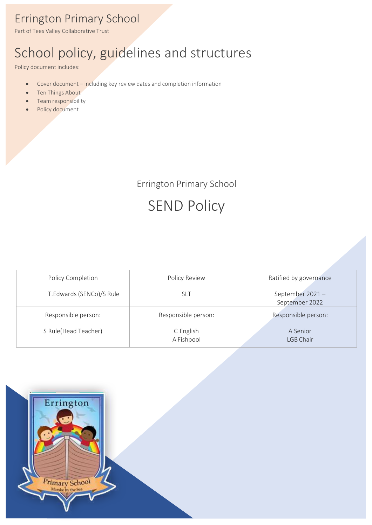## Errington Primary School

Part of Tees Valley Collaborative Trust

# School policy, guidelines and structures

Policy document includes:

- Cover document including key review dates and completion information
- Ten Things About
- Team responsibility
- Policy document

Errington Primary School

# SEND Policy

| Policy Completion        | Policy Review           | Ratified by governance            |
|--------------------------|-------------------------|-----------------------------------|
| T.Edwards (SENCo)/S Rule | slt                     | September 2021-<br>September 2022 |
| Responsible person:      | Responsible person:     | Responsible person:               |
| S Rule(Head Teacher)     | C English<br>A Fishpool | A Senior<br>LGB Chair             |

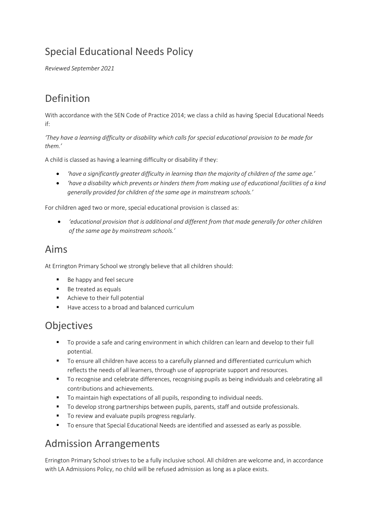## Special Educational Needs Policy

*Reviewed September 2021*

#### Definition

With accordance with the SEN Code of Practice 2014; we class a child as having Special Educational Needs if:

*'They have a learning difficulty or disability which calls for special educational provision to be made for them.'*

A child is classed as having a learning difficulty or disability if they:

- *'have a significantly greater difficulty in learning than the majority of children of the same age.'*
- *'have a disability which prevents or hinders them from making use of educational facilities of a kind generally provided for children of the same age in mainstream schools.'*

For children aged two or more, special educational provision is classed as:

• *'educational provision that is additional and different from that made generally for other children of the same age by mainstream schools.'*

#### Aims

At Errington Primary School we strongly believe that all children should:

- Be happy and feel secure
- Be treated as equals
- Achieve to their full potential
- Have access to a broad and balanced curriculum

#### Objectives

- To provide a safe and caring environment in which children can learn and develop to their full potential.
- To ensure all children have access to a carefully planned and differentiated curriculum which reflects the needs of all learners, through use of appropriate support and resources.
- To recognise and celebrate differences, recognising pupils as being individuals and celebrating all contributions and achievements.
- To maintain high expectations of all pupils, responding to individual needs.
- To develop strong partnerships between pupils, parents, staff and outside professionals.
- To review and evaluate pupils progress regularly.
- To ensure that Special Educational Needs are identified and assessed as early as possible.

#### Admission Arrangements

Errington Primary School strives to be a fully inclusive school. All children are welcome and, in accordance with LA Admissions Policy, no child will be refused admission as long as a place exists.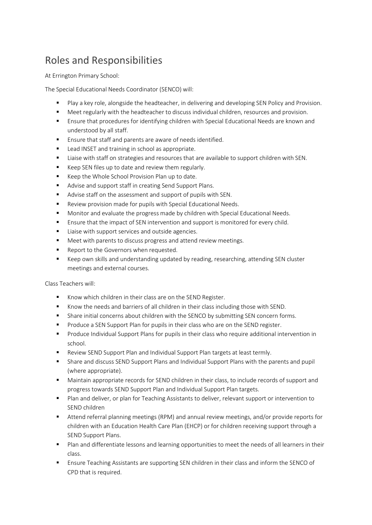### Roles and Responsibilities

At Errington Primary School:

The Special Educational Needs Coordinator (SENCO) will:

- Play a key role, alongside the headteacher, in delivering and developing SEN Policy and Provision.
- Meet regularly with the headteacher to discuss individual children, resources and provision.
- **E** Ensure that procedures for identifying children with Special Educational Needs are known and understood by all staff.
- Ensure that staff and parents are aware of needs identified.
- Lead INSET and training in school as appropriate.
- **■** Liaise with staff on strategies and resources that are available to support children with SEN.
- Keep SEN files up to date and review them regularly.
- Keep the Whole School Provision Plan up to date.
- Advise and support staff in creating Send Support Plans.
- Advise staff on the assessment and support of pupils with SEN.
- Review provision made for pupils with Special Educational Needs.
- Monitor and evaluate the progress made by children with Special Educational Needs.
- Ensure that the impact of SEN intervention and support is monitored for every child.
- Liaise with support services and outside agencies.
- Meet with parents to discuss progress and attend review meetings.
- Report to the Governors when requested.
- Keep own skills and understanding updated by reading, researching, attending SEN cluster meetings and external courses.

Class Teachers will:

- Know which children in their class are on the SEND Register.
- Know the needs and barriers of all children in their class including those with SEND.
- **■** Share initial concerns about children with the SENCO by submitting SEN concern forms.
- Produce a SEN Support Plan for pupils in their class who are on the SEND register.
- Produce Individual Support Plans for pupils in their class who require additional intervention in school.
- Review SEND Support Plan and Individual Support Plan targets at least termly.
- Share and discuss SEND Support Plans and Individual Support Plans with the parents and pupil (where appropriate).
- Maintain appropriate records for SEND children in their class, to include records of support and progress towards SEND Support Plan and Individual Support Plan targets.
- Plan and deliver, or plan for Teaching Assistants to deliver, relevant support or intervention to SEND children
- Attend referral planning meetings (RPM) and annual review meetings, and/or provide reports for children with an Education Health Care Plan (EHCP) or for children receiving support through a SEND Support Plans.
- Plan and differentiate lessons and learning opportunities to meet the needs of all learners in their class.
- Ensure Teaching Assistants are supporting SEN children in their class and inform the SENCO of CPD that is required.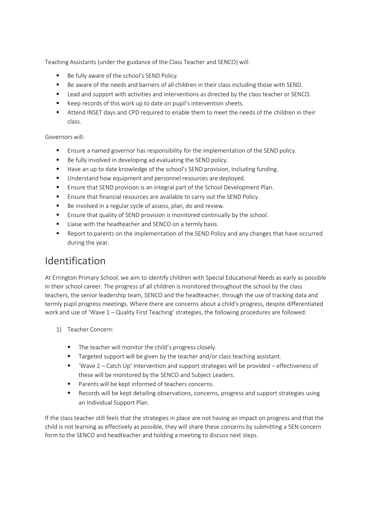Teaching Assistants (under the guidance of the Class Teacher and SENCO) will:

- Be fully aware of the school's SEND Policy.
- Be aware of the needs and barriers of all children in their class including those with SEND.
- Lead and support with activities and interventions as directed by the class teacher or SENCO.
- Keep records of this work up to date on pupil's intervention sheets.
- Attend INSET days and CPD required to enable them to meet the needs of the children in their class.

#### Governors will:

- Ensure a named governor has responsibility for the implementation of the SEND policy.
- Be fully involved in developing ad evaluating the SEND policy.
- Have an up to date knowledge of the school's SEND provision, including funding.
- Understand how equipment and personnel resources are deployed.
- Ensure that SEND provision is an integral part of the School Development Plan.
- Ensure that financial resources are available to carry out the SEND Policy.
- Be involved in a regular cycle of assess, plan, do and review.
- Ensure that quality of SEND provision is monitored continually by the school.
- Liaise with the headteacher and SENCO on a termly basis.
- Report to parents on the implementation of the SEND Policy and any changes that have occurred during the year.

#### Identification

At Errington Primary School, we aim to identify children with Special Educational Needs as early as possible in their school career. The progress of all children is monitored throughout the school by the class teachers, the senior leadership team, SENCO and the headteacher, through the use of tracking data and termly pupil progress meetings. Where there are concerns about a child's progress, despite differentiated work and use of 'Wave 1 – Quality First Teaching' strategies, the following procedures are followed:

- 1) Teacher Concern:
	- The teacher will monitor the child's progress closely.
	- Targeted support will be given by the teacher and/or class teaching assistant.
	- 'Wave 2 Catch Up' Intervention and support strategies will be provided effectiveness of these will be monitored by the SENCO and Subject Leaders.
	- Parents will be kept informed of teachers concerns.
	- Records will be kept detailing observations, concerns, progress and support strategies using an Individual Support Plan.

If the class teacher still feels that the strategies in place are not having an impact on progress and that the child is not learning as effectively as possible, they will share these concerns by submitting a SEN concern form to the SENCO and headteacher and holding a meeting to discuss next steps.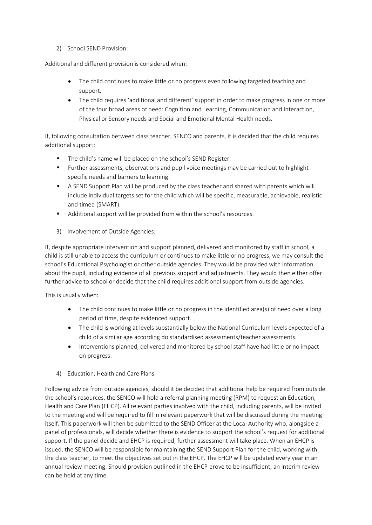2) School SEND Provision:

Additional and different provision is considered when:

- The child continues to make little or no progress even following targeted teaching and support.
- The child requires 'additional and different' support in order to make progress in one or more of the four broad areas of need: Cognition and Learning, Communication and Interaction, Physical or Sensory needs and Social and Emotional Mental Health needs.

If, following consultation between class teacher, SENCO and parents, it is decided that the child requires additional support:

- The child's name will be placed on the school's SEND Register.
- **EXECT** Further assessments, observations and pupil voice meetings may be carried out to highlight specific needs and barriers to learning.
- A SEND Support Plan will be produced by the class teacher and shared with parents which will include individual targets set for the child which will be specific, measurable, achievable, realistic and timed (SMART).
- Additional support will be provided from within the school's resources.
- 3) Involvement of Outside Agencies:

If, despite appropriate intervention and support planned, delivered and monitored by staff in school, a child is still unable to access the curriculum or continues to make little or no progress, we may consult the school's Educational Psychologist or other outside agencies. They would be provided with information about the pupil, including evidence of all previous support and adjustments. They would then either offer further advice to school or decide that the child requires additional support from outside agencies.

This is usually when:

- The child continues to make little or no progress in the identified area(s) of need over a long period of time, despite evidenced support.
- The child is working at levels substantially below the National Curriculum levels expected of a child of a similar age according do standardised assessments/teacher assessments.
- Interventions planned, delivered and monitored by school staff have had little or no impact on progress.
- 4) Education, Health and Care Plans

Following advice from outside agencies, should it be decided that additional help be required from outside the school's resources, the SENCO will hold a referral planning meeting (RPM) to request an Education, Health and Care Plan (EHCP). All relevant parties involved with the child, including parents, will be invited to the meeting and will be required to fill in relevant paperwork that will be discussed during the meeting itself. This paperwork will then be submitted to the SEND Officer at the Local Authority who, alongside a panel of professionals, will decide whether there is evidence to support the school's request for additional support. If the panel decide and EHCP is required, further assessment will take place. When an EHCP is issued, the SENCO will be responsible for maintaining the SEND Support Plan for the child, working with the class teacher, to meet the objectives set out in the EHCP. The EHCP will be updated every year in an annual review meeting. Should provision outlined in the EHCP prove to be insufficient, an interim review can be held at any time.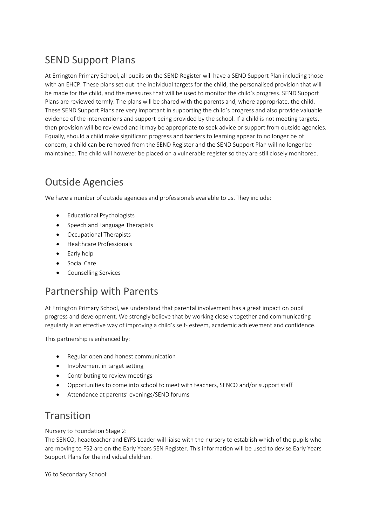### SEND Support Plans

At Errington Primary School, all pupils on the SEND Register will have a SEND Support Plan including those with an EHCP. These plans set out: the individual targets for the child, the personalised provision that will be made for the child, and the measures that will be used to monitor the child's progress. SEND Support Plans are reviewed termly. The plans will be shared with the parents and, where appropriate, the child. These SEND Support Plans are very important in supporting the child's progress and also provide valuable evidence of the interventions and support being provided by the school. If a child is not meeting targets, then provision will be reviewed and it may be appropriate to seek advice or support from outside agencies. Equally, should a child make significant progress and barriers to learning appear to no longer be of concern, a child can be removed from the SEND Register and the SEND Support Plan will no longer be maintained. The child will however be placed on a vulnerable register so they are still closely monitored.

#### Outside Agencies

We have a number of outside agencies and professionals available to us. They include:

- Educational Psychologists
- Speech and Language Therapists
- Occupational Therapists
- Healthcare Professionals
- Early help
- Social Care
- Counselling Services

#### Partnership with Parents

At Errington Primary School, we understand that parental involvement has a great impact on pupil progress and development. We strongly believe that by working closely together and communicating regularly is an effective way of improving a child's self- esteem, academic achievement and confidence.

This partnership is enhanced by:

- Regular open and honest communication
- Involvement in target setting
- Contributing to review meetings
- Opportunities to come into school to meet with teachers, SENCO and/or support staff
- Attendance at parents' evenings/SEND forums

#### **Transition**

Nursery to Foundation Stage 2:

The SENCO, headteacher and EYFS Leader will liaise with the nursery to establish which of the pupils who are moving to FS2 are on the Early Years SEN Register. This information will be used to devise Early Years Support Plans for the individual children.

Y6 to Secondary School: